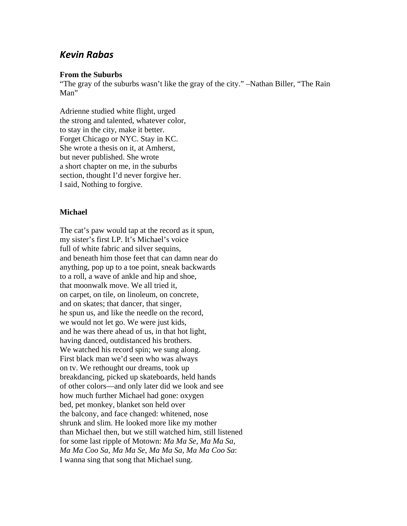## *Kevin Rabas*

## **From the Suburbs**

"The gray of the suburbs wasn't like the gray of the city." –Nathan Biller, "The Rain Man"

Adrienne studied white flight, urged the strong and talented, whatever color, to stay in the city, make it better. Forget Chicago or NYC. Stay in KC. She wrote a thesis on it, at Amherst, but never published. She wrote a short chapter on me, in the suburbs section, thought I'd never forgive her. I said, Nothing to forgive.

## **Michael**

The cat's paw would tap at the record as it spun, my sister's first LP. It's Michael's voice full of white fabric and silver sequins, and beneath him those feet that can damn near do anything, pop up to a toe point, sneak backwards to a roll, a wave of ankle and hip and shoe, that moonwalk move. We all tried it, on carpet, on tile, on linoleum, on concrete, and on skates; that dancer, that singer, he spun us, and like the needle on the record, we would not let go. We were just kids, and he was there ahead of us, in that hot light, having danced, outdistanced his brothers. We watched his record spin; we sung along. First black man we'd seen who was always on tv. We rethought our dreams, took up breakdancing, picked up skateboards, held hands of other colors—and only later did we look and see how much further Michael had gone: oxygen bed, pet monkey, blanket son held over the balcony, and face changed: whitened, nose shrunk and slim. He looked more like my mother than Michael then, but we still watched him, still listened for some last ripple of Motown: *Ma Ma Se, Ma Ma Sa, Ma Ma Coo Sa, Ma Ma Se, Ma Ma Sa, Ma Ma Coo Sa*: I wanna sing that song that Michael sung.